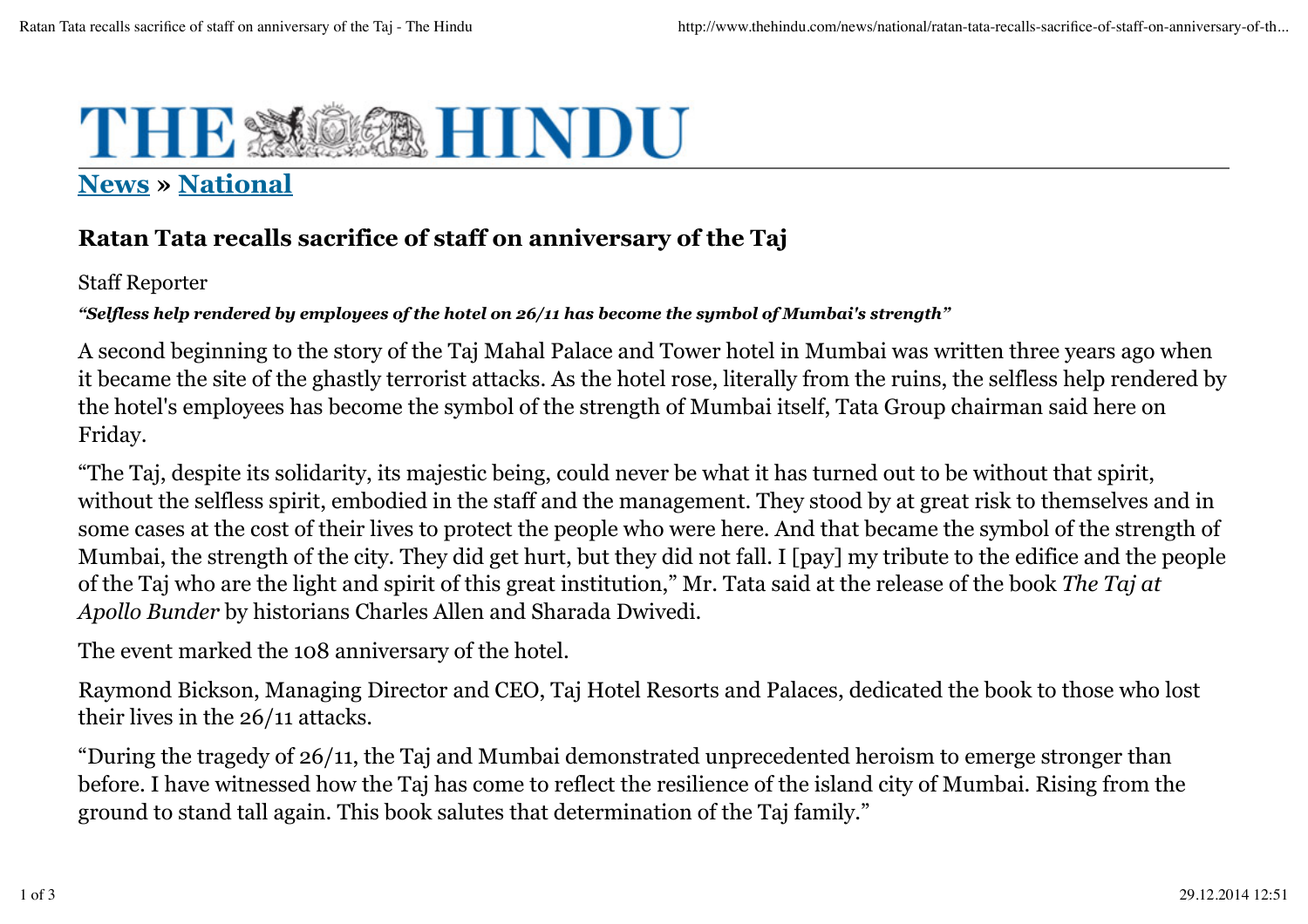## THE & **MERHINDU**

## **News » National**

## **Ratan Tata recalls sacrifice of staff on anniversary of the Taj**

Staff Reporter

*"Selfless help rendered by employees of the hotel on 26/11 has become the symbol of Mumbai's strength"*

A second beginning to the story of the Taj Mahal Palace and Tower hotel in Mumbai was written three years ago when it became the site of the ghastly terrorist attacks. As the hotel rose, literally from the ruins, the selfless help rendered by the hotel's employees has become the symbol of the strength of Mumbai itself, Tata Group chairman said here on Friday.

"The Taj, despite its solidarity, its majestic being, could never be what it has turned out to be without that spirit, without the selfless spirit, embodied in the staff and the management. They stood by at great risk to themselves and in some cases at the cost of their lives to protect the people who were here. And that became the symbol of the strength of Mumbai, the strength of the city. They did get hurt, but they did not fall. I [pay] my tribute to the edifice and the people of the Taj who are the light and spirit of this great institution," Mr. Tata said at the release of the book *The Taj at Apollo Bunder* by historians Charles Allen and Sharada Dwivedi.

The event marked the 108 anniversary of the hotel.

Raymond Bickson, Managing Director and CEO, Taj Hotel Resorts and Palaces, dedicated the book to those who lost their lives in the 26/11 attacks.

"During the tragedy of 26/11, the Taj and Mumbai demonstrated unprecedented heroism to emerge stronger than before. I have witnessed how the Taj has come to reflect the resilience of the island city of Mumbai. Rising from the ground to stand tall again. This book salutes that determination of the Taj family."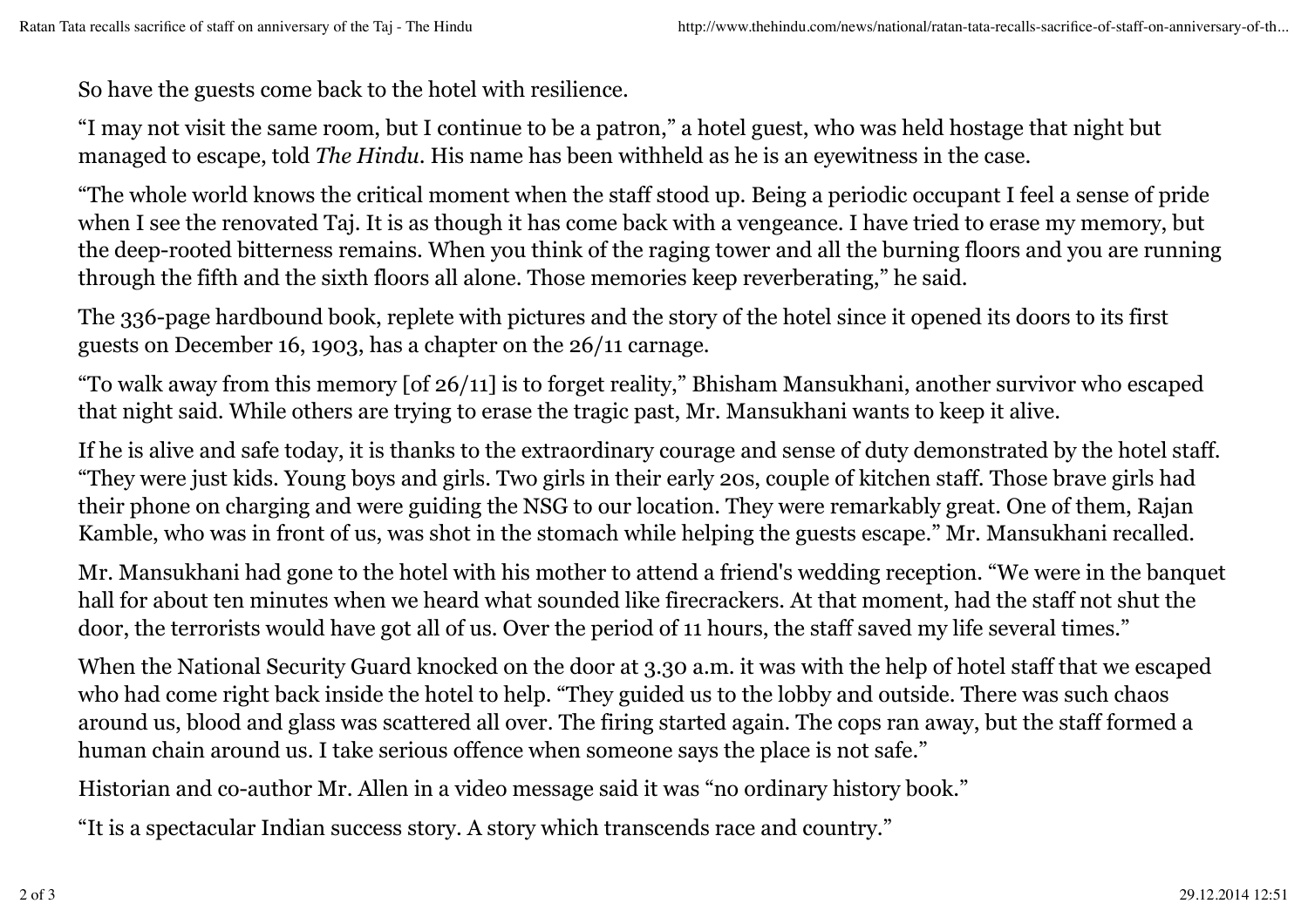So have the guests come back to the hotel with resilience.

"I may not visit the same room, but I continue to be a patron," a hotel guest, who was held hostage that night but managed to escape, told *The Hindu*. His name has been withheld as he is an eyewitness in the case.

"The whole world knows the critical moment when the staff stood up. Being a periodic occupant I feel a sense of pride when I see the renovated Taj. It is as though it has come back with a vengeance. I have tried to erase my memory, but the deep-rooted bitterness remains. When you think of the raging tower and all the burning floors and you are running through the fifth and the sixth floors all alone. Those memories keep reverberating," he said.

The 336-page hardbound book, replete with pictures and the story of the hotel since it opened its doors to its first guests on December 16, 1903, has a chapter on the 26/11 carnage.

"To walk away from this memory [of 26/11] is to forget reality," Bhisham Mansukhani, another survivor who escaped that night said. While others are trying to erase the tragic past, Mr. Mansukhani wants to keep it alive.

If he is alive and safe today, it is thanks to the extraordinary courage and sense of duty demonstrated by the hotel staff. "They were just kids. Young boys and girls. Two girls in their early 20s, couple of kitchen staff. Those brave girls had their phone on charging and were guiding the NSG to our location. They were remarkably great. One of them, Rajan Kamble, who was in front of us, was shot in the stomach while helping the guests escape." Mr. Mansukhani recalled.

Mr. Mansukhani had gone to the hotel with his mother to attend a friend's wedding reception. "We were in the banquet hall for about ten minutes when we heard what sounded like firecrackers. At that moment, had the staff not shut the door, the terrorists would have got all of us. Over the period of 11 hours, the staff saved my life several times."

When the National Security Guard knocked on the door at 3.30 a.m. it was with the help of hotel staff that we escaped who had come right back inside the hotel to help. "They guided us to the lobby and outside. There was such chaos around us, blood and glass was scattered all over. The firing started again. The cops ran away, but the staff formed a human chain around us. I take serious offence when someone says the place is not safe."

Historian and co-author Mr. Allen in a video message said it was "no ordinary history book."

"It is a spectacular Indian success story. A story which transcends race and country."